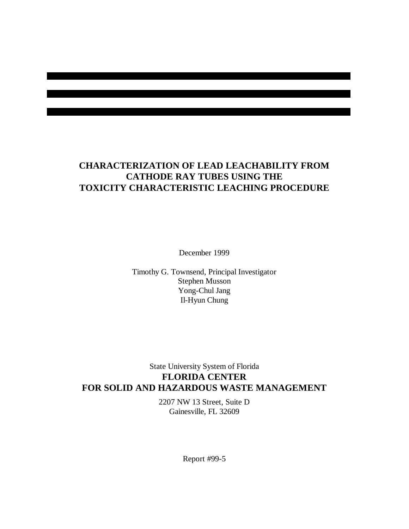# **CHARACTERIZATION OF LEAD LEACHABILITY FROM CATHODE RAY TUBES USING THE TOXICITY CHARACTERISTIC LEACHING PROCEDURE**

December 1999

Timothy G. Townsend, Principal Investigator Stephen Musson Yong-Chul Jang Il-Hyun Chung

# State University System of Florida **FLORIDA CENTER FOR SOLID AND HAZARDOUS WASTE MANAGEMENT**

2207 NW 13 Street, Suite D Gainesville, FL 32609

Report #99-5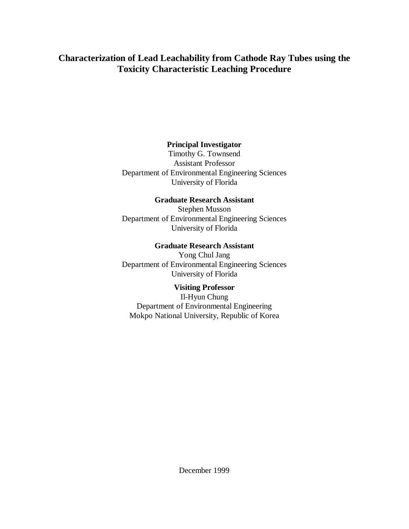# **Characterization of Lead Leachability from Cathode Ray Tubes using the Toxicity Characteristic Leaching Procedure**

# **Principal Investigator**

Timothy G. Townsend Assistant Professor Department of Environmental Engineering Sciences University of Florida

## **Graduate Research Assistant**

Stephen Musson Department of Environmental Engineering Sciences University of Florida

## **Graduate Research Assistant**

Yong Chul Jang Department of Environmental Engineering Sciences University of Florida

## **Visiting Professor**

Il-Hyun Chung Department of Environmental Engineering Mokpo National University, Republic of Korea

December 1999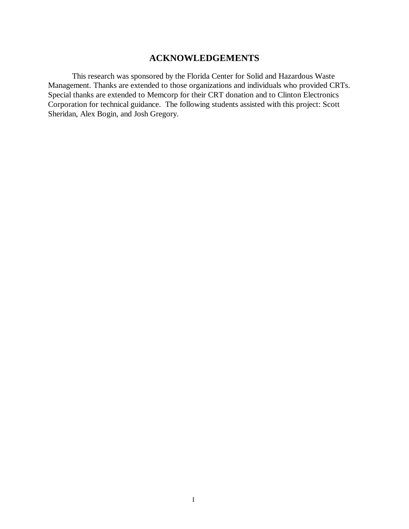# **ACKNOWLEDGEMENTS**

This research was sponsored by the Florida Center for Solid and Hazardous Waste Management. Thanks are extended to those organizations and individuals who provided CRTs. Special thanks are extended to Memcorp for their CRT donation and to Clinton Electronics Corporation for technical guidance. The following students assisted with this project: Scott Sheridan, Alex Bogin, and Josh Gregory.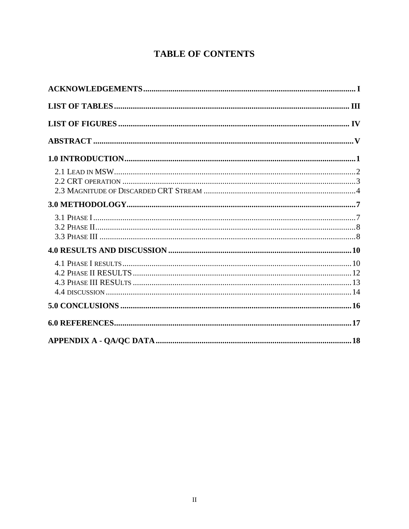# **TABLE OF CONTENTS**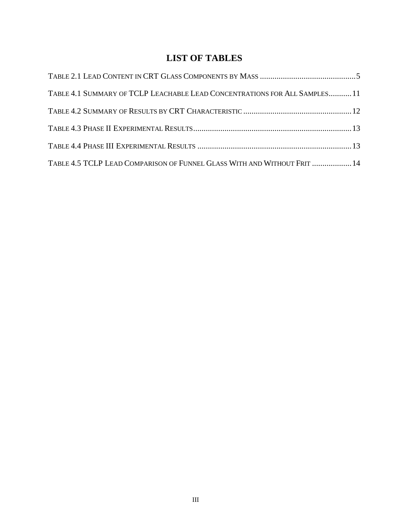# **LIST OF TABLES**

| TABLE 4.1 SUMMARY OF TCLP LEACHABLE LEAD CONCENTRATIONS FOR ALL SAMPLES 11 |  |
|----------------------------------------------------------------------------|--|
|                                                                            |  |
|                                                                            |  |
|                                                                            |  |
| TABLE 4.5 TCLP LEAD COMPARISON OF FUNNEL GLASS WITH AND WITHOUT FRIT  14   |  |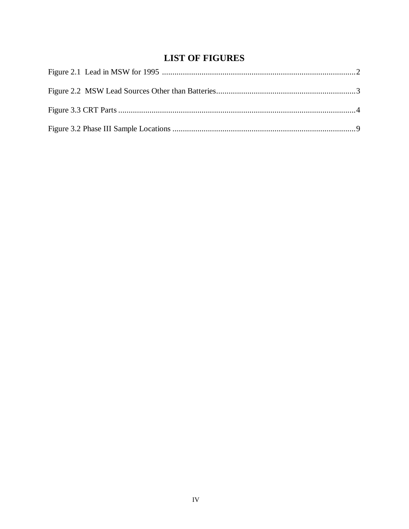# **LIST OF FIGURES**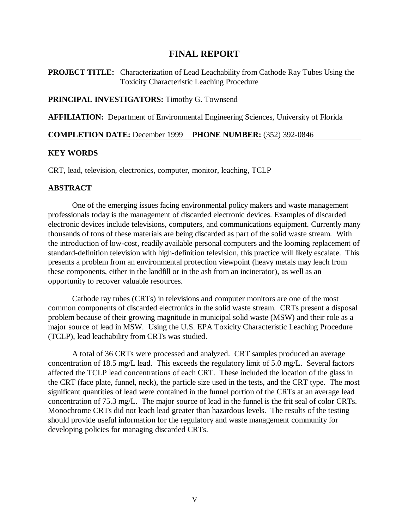# **FINAL REPORT**

**PROJECT TITLE:** Characterization of Lead Leachability from Cathode Ray Tubes Using the Toxicity Characteristic Leaching Procedure

## **PRINCIPAL INVESTIGATORS:** Timothy G. Townsend

**AFFILIATION:** Department of Environmental Engineering Sciences, University of Florida

#### **COMPLETION DATE:** December 1999 **PHONE NUMBER:** (352) 392-0846

#### **KEY WORDS**

CRT, lead, television, electronics, computer, monitor, leaching, TCLP

### **ABSTRACT**

One of the emerging issues facing environmental policy makers and waste management professionals today is the management of discarded electronic devices. Examples of discarded electronic devices include televisions, computers, and communications equipment. Currently many thousands of tons of these materials are being discarded as part of the solid waste stream. With the introduction of low-cost, readily available personal computers and the looming replacement of standard-definition television with high-definition television, this practice will likely escalate. This presents a problem from an environmental protection viewpoint (heavy metals may leach from these components, either in the landfill or in the ash from an incinerator), as well as an opportunity to recover valuable resources.

Cathode ray tubes (CRTs) in televisions and computer monitors are one of the most common components of discarded electronics in the solid waste stream. CRTs present a disposal problem because of their growing magnitude in municipal solid waste (MSW) and their role as a major source of lead in MSW. Using the U.S. EPA Toxicity Characteristic Leaching Procedure (TCLP), lead leachability from CRTs was studied.

A total of 36 CRTs were processed and analyzed. CRT samples produced an average concentration of 18.5 mg/L lead. This exceeds the regulatory limit of 5.0 mg/L. Several factors affected the TCLP lead concentrations of each CRT. These included the location of the glass in the CRT (face plate, funnel, neck), the particle size used in the tests, and the CRT type. The most significant quantities of lead were contained in the funnel portion of the CRTs at an average lead concentration of 75.3 mg/L. The major source of lead in the funnel is the frit seal of color CRTs. Monochrome CRTs did not leach lead greater than hazardous levels. The results of the testing should provide useful information for the regulatory and waste management community for developing policies for managing discarded CRTs.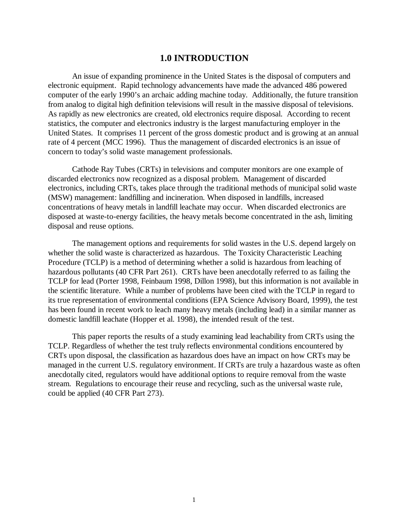# **1.0 INTRODUCTION**

An issue of expanding prominence in the United States is the disposal of computers and electronic equipment. Rapid technology advancements have made the advanced 486 powered computer of the early 1990's an archaic adding machine today. Additionally, the future transition from analog to digital high definition televisions will result in the massive disposal of televisions. As rapidly as new electronics are created, old electronics require disposal. According to recent statistics, the computer and electronics industry is the largest manufacturing employer in the United States. It comprises 11 percent of the gross domestic product and is growing at an annual rate of 4 percent (MCC 1996). Thus the management of discarded electronics is an issue of concern to today's solid waste management professionals.

Cathode Ray Tubes (CRTs) in televisions and computer monitors are one example of discarded electronics now recognized as a disposal problem. Management of discarded electronics, including CRTs, takes place through the traditional methods of municipal solid waste (MSW) management: landfilling and incineration. When disposed in landfills, increased concentrations of heavy metals in landfill leachate may occur. When discarded electronics are disposed at waste-to-energy facilities, the heavy metals become concentrated in the ash, limiting disposal and reuse options.

The management options and requirements for solid wastes in the U.S. depend largely on whether the solid waste is characterized as hazardous. The Toxicity Characteristic Leaching Procedure (TCLP) is a method of determining whether a solid is hazardous from leaching of hazardous pollutants (40 CFR Part 261). CRTs have been anecdotally referred to as failing the TCLP for lead (Porter 1998, Feinbaum 1998, Dillon 1998), but this information is not available in the scientific literature. While a number of problems have been cited with the TCLP in regard to its true representation of environmental conditions (EPA Science Advisory Board, 1999), the test has been found in recent work to leach many heavy metals (including lead) in a similar manner as domestic landfill leachate (Hopper et al. 1998), the intended result of the test.

This paper reports the results of a study examining lead leachability from CRTs using the TCLP. Regardless of whether the test truly reflects environmental conditions encountered by CRTs upon disposal, the classification as hazardous does have an impact on how CRTs may be managed in the current U.S. regulatory environment. If CRTs are truly a hazardous waste as often anecdotally cited, regulators would have additional options to require removal from the waste stream. Regulations to encourage their reuse and recycling, such as the universal waste rule, could be applied (40 CFR Part 273).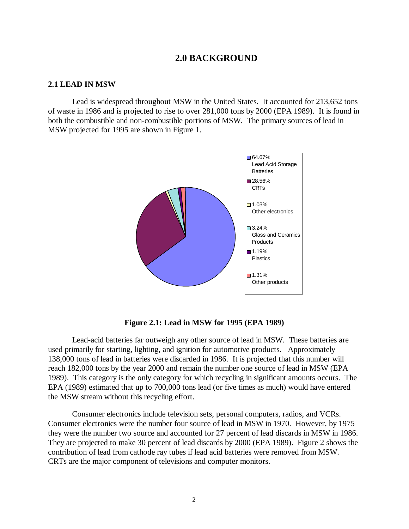# **2.0 BACKGROUND**

#### **2.1 LEAD IN MSW**

Lead is widespread throughout MSW in the United States. It accounted for 213,652 tons of waste in 1986 and is projected to rise to over 281,000 tons by 2000 (EPA 1989). It is found in both the combustible and non-combustible portions of MSW. The primary sources of lead in MSW projected for 1995 are shown in Figure 1.



**Figure 2.1: Lead in MSW for 1995 (EPA 1989)**

Lead-acid batteries far outweigh any other source of lead in MSW. These batteries are used primarily for starting, lighting, and ignition for automotive products. Approximately 138,000 tons of lead in batteries were discarded in 1986. It is projected that this number will reach 182,000 tons by the year 2000 and remain the number one source of lead in MSW (EPA 1989). This category is the only category for which recycling in significant amounts occurs. The EPA (1989) estimated that up to 700,000 tons lead (or five times as much) would have entered the MSW stream without this recycling effort.

Consumer electronics include television sets, personal computers, radios, and VCRs. Consumer electronics were the number four source of lead in MSW in 1970. However, by 1975 they were the number two source and accounted for 27 percent of lead discards in MSW in 1986. They are projected to make 30 percent of lead discards by 2000 (EPA 1989). Figure 2 shows the contribution of lead from cathode ray tubes if lead acid batteries were removed from MSW. CRTs are the major component of televisions and computer monitors.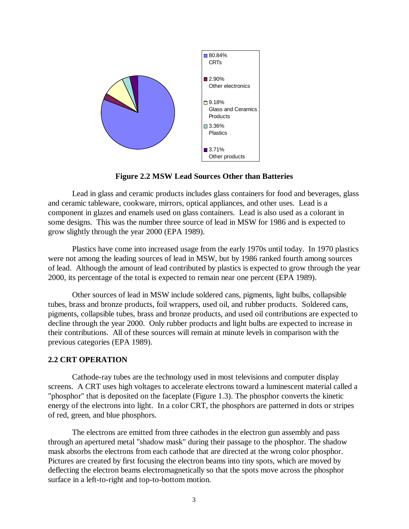

**Figure 2.2 MSW Lead Sources Other than Batteries**

Lead in glass and ceramic products includes glass containers for food and beverages, glass and ceramic tableware, cookware, mirrors, optical appliances, and other uses. Lead is a component in glazes and enamels used on glass containers. Lead is also used as a colorant in some designs. This was the number three source of lead in MSW for 1986 and is expected to grow slightly through the year 2000 (EPA 1989).

Plastics have come into increased usage from the early 1970s until today. In 1970 plastics were not among the leading sources of lead in MSW, but by 1986 ranked fourth among sources of lead. Although the amount of lead contributed by plastics is expected to grow through the year 2000, its percentage of the total is expected to remain near one percent (EPA 1989).

Other sources of lead in MSW include soldered cans, pigments, light bulbs, collapsible tubes, brass and bronze products, foil wrappers, used oil, and rubber products. Soldered cans, pigments, collapsible tubes, brass and bronze products, and used oil contributions are expected to decline through the year 2000. Only rubber products and light bulbs are expected to increase in their contributions. All of these sources will remain at minute levels in comparison with the previous categories (EPA 1989).

#### **2.2 CRT OPERATION**

Cathode-ray tubes are the technology used in most televisions and computer display screens. A CRT uses high voltages to accelerate electrons toward a luminescent material called a "phosphor" that is deposited on the faceplate (Figure 1.3). The phosphor converts the kinetic energy of the electrons into light. In a color CRT, the phosphors are patterned in dots or stripes of red, green, and blue phosphors.

The electrons are emitted from three cathodes in the electron gun assembly and pass through an apertured metal "shadow mask" during their passage to the phosphor. The shadow mask absorbs the electrons from each cathode that are directed at the wrong color phosphor. Pictures are created by first focusing the electron beams into tiny spots, which are moved by deflecting the electron beams electromagnetically so that the spots move across the phosphor surface in a left-to-right and top-to-bottom motion.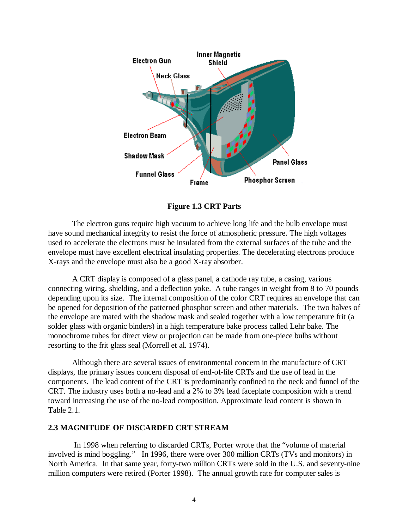

**Figure 1.3 CRT Parts**

The electron guns require high vacuum to achieve long life and the bulb envelope must have sound mechanical integrity to resist the force of atmospheric pressure. The high voltages used to accelerate the electrons must be insulated from the external surfaces of the tube and the envelope must have excellent electrical insulating properties. The decelerating electrons produce X-rays and the envelope must also be a good X-ray absorber.

A CRT display is composed of a glass panel, a cathode ray tube, a casing, various connecting wiring, shielding, and a deflection yoke. A tube ranges in weight from 8 to 70 pounds depending upon its size. The internal composition of the color CRT requires an envelope that can be opened for deposition of the patterned phosphor screen and other materials. The two halves of the envelope are mated with the shadow mask and sealed together with a low temperature frit (a solder glass with organic binders) in a high temperature bake process called Lehr bake. The monochrome tubes for direct view or projection can be made from one-piece bulbs without resorting to the frit glass seal (Morrell et al. 1974).

Although there are several issues of environmental concern in the manufacture of CRT displays, the primary issues concern disposal of end-of-life CRTs and the use of lead in the components. The lead content of the CRT is predominantly confined to the neck and funnel of the CRT. The industry uses both a no-lead and a 2% to 3% lead faceplate composition with a trend toward increasing the use of the no-lead composition. Approximate lead content is shown in Table 2.1.

### **2.3 MAGNITUDE OF DISCARDED CRT STREAM**

 In 1998 when referring to discarded CRTs, Porter wrote that the "volume of material involved is mind boggling." In 1996, there were over 300 million CRTs (TVs and monitors) in North America. In that same year, forty-two million CRTs were sold in the U.S. and seventy-nine million computers were retired (Porter 1998). The annual growth rate for computer sales is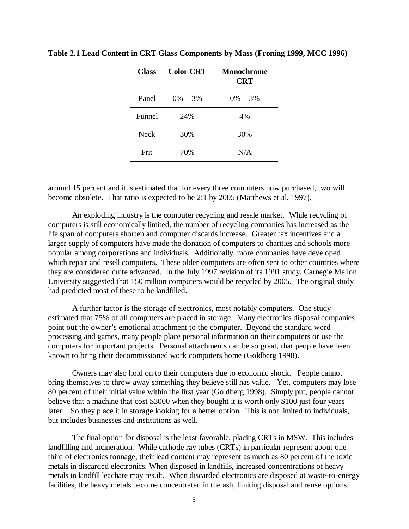| <b>Glass</b> | <b>Color CRT</b> | <b>Monochrome</b><br><b>CRT</b> |
|--------------|------------------|---------------------------------|
| Panel        | $0\% - 3\%$      | $0\% - 3\%$                     |
| Funnel       | 24%              | 4%                              |
| Neck         | 30%              | 30%                             |
| Frit         | 70%              | N/A                             |

**Table 2.1 Lead Content in CRT Glass Components by Mass (Froning 1999, MCC 1996)**

around 15 percent and it is estimated that for every three computers now purchased, two will become obsolete. That ratio is expected to be 2:1 by 2005 (Matthews et al. 1997).

An exploding industry is the computer recycling and resale market. While recycling of computers is still economically limited, the number of recycling companies has increased as the life span of computers shorten and computer discards increase. Greater tax incentives and a larger supply of computers have made the donation of computers to charities and schools more popular among corporations and individuals. Additionally, more companies have developed which repair and resell computers. These older computers are often sent to other countries where they are considered quite advanced. In the July 1997 revision of its 1991 study, Carnegie Mellon University suggested that 150 million computers would be recycled by 2005. The original study had predicted most of these to be landfilled.

A further factor is the storage of electronics, most notably computers. One study estimated that 75% of all computers are placed in storage. Many electronics disposal companies point out the owner's emotional attachment to the computer. Beyond the standard word processing and games, many people place personal information on their computers or use the computers for important projects. Personal attachments can be so great, that people have been known to bring their decommissioned work computers home (Goldberg 1998).

Owners may also hold on to their computers due to economic shock. People cannot bring themselves to throw away something they believe still has value. Yet, computers may lose 80 percent of their initial value within the first year (Goldberg 1998). Simply put, people cannot believe that a machine that cost \$3000 when they bought it is worth only \$100 just four years later. So they place it in storage looking for a better option. This is not limited to individuals, but includes businesses and institutions as well.

The final option for disposal is the least favorable, placing CRTs in MSW. This includes landfilling and incineration. While cathode ray tubes (CRTs) in particular represent about one third of electronics tonnage, their lead content may represent as much as 80 percent of the toxic metals in discarded electronics. When disposed in landfills, increased concentrations of heavy metals in landfill leachate may result. When discarded electronics are disposed at waste-to-energy facilities, the heavy metals become concentrated in the ash, limiting disposal and reuse options.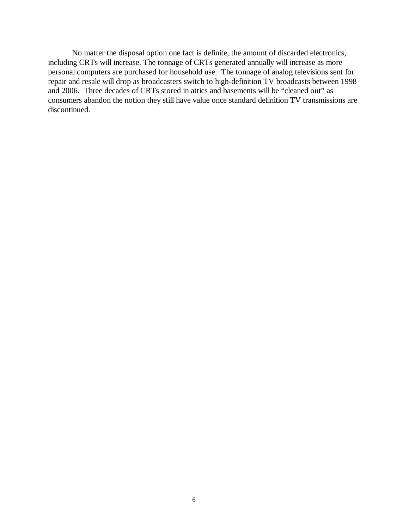No matter the disposal option one fact is definite, the amount of discarded electronics, including CRTs will increase. The tonnage of CRTs generated annually will increase as more personal computers are purchased for household use. The tonnage of analog televisions sent for repair and resale will drop as broadcasters switch to high-definition TV broadcasts between 1998 and 2006. Three decades of CRTs stored in attics and basements will be "cleaned out" as consumers abandon the notion they still have value once standard definition TV transmissions are discontinued.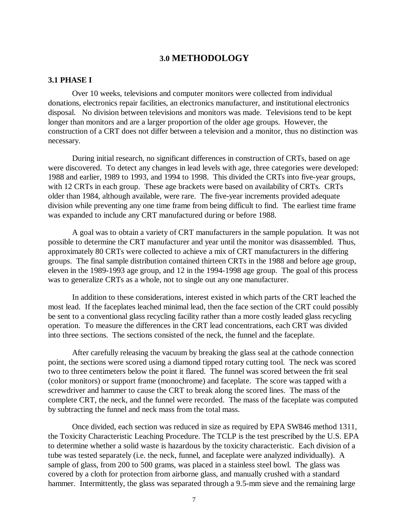## **3.0 METHODOLOGY**

#### **3.1 PHASE I**

Over 10 weeks, televisions and computer monitors were collected from individual donations, electronics repair facilities, an electronics manufacturer, and institutional electronics disposal. No division between televisions and monitors was made. Televisions tend to be kept longer than monitors and are a larger proportion of the older age groups. However, the construction of a CRT does not differ between a television and a monitor, thus no distinction was necessary.

During initial research, no significant differences in construction of CRTs, based on age were discovered. To detect any changes in lead levels with age, three categories were developed: 1988 and earlier, 1989 to 1993, and 1994 to 1998. This divided the CRTs into five-year groups, with 12 CRTs in each group. These age brackets were based on availability of CRTs. CRTs older than 1984, although available, were rare. The five-year increments provided adequate division while preventing any one time frame from being difficult to find. The earliest time frame was expanded to include any CRT manufactured during or before 1988.

A goal was to obtain a variety of CRT manufacturers in the sample population. It was not possible to determine the CRT manufacturer and year until the monitor was disassembled. Thus, approximately 80 CRTs were collected to achieve a mix of CRT manufacturers in the differing groups. The final sample distribution contained thirteen CRTs in the 1988 and before age group, eleven in the 1989-1993 age group, and 12 in the 1994-1998 age group. The goal of this process was to generalize CRTs as a whole, not to single out any one manufacturer.

In addition to these considerations, interest existed in which parts of the CRT leached the most lead. If the faceplates leached minimal lead, then the face section of the CRT could possibly be sent to a conventional glass recycling facility rather than a more costly leaded glass recycling operation. To measure the differences in the CRT lead concentrations, each CRT was divided into three sections. The sections consisted of the neck, the funnel and the faceplate.

After carefully releasing the vacuum by breaking the glass seal at the cathode connection point, the sections were scored using a diamond tipped rotary cutting tool. The neck was scored two to three centimeters below the point it flared. The funnel was scored between the frit seal (color monitors) or support frame (monochrome) and faceplate. The score was tapped with a screwdriver and hammer to cause the CRT to break along the scored lines. The mass of the complete CRT, the neck, and the funnel were recorded. The mass of the faceplate was computed by subtracting the funnel and neck mass from the total mass.

Once divided, each section was reduced in size as required by EPA SW846 method 1311, the Toxicity Characteristic Leaching Procedure. The TCLP is the test prescribed by the U.S. EPA to determine whether a solid waste is hazardous by the toxicity characteristic. Each division of a tube was tested separately (i.e. the neck, funnel, and faceplate were analyzed individually). A sample of glass, from 200 to 500 grams, was placed in a stainless steel bowl. The glass was covered by a cloth for protection from airborne glass, and manually crushed with a standard hammer. Intermittently, the glass was separated through a 9.5-mm sieve and the remaining large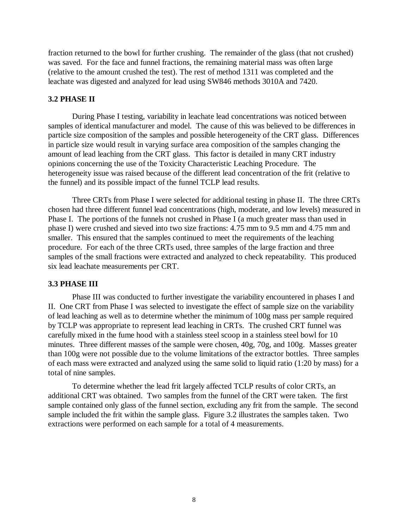fraction returned to the bowl for further crushing. The remainder of the glass (that not crushed) was saved. For the face and funnel fractions, the remaining material mass was often large (relative to the amount crushed the test). The rest of method 1311 was completed and the leachate was digested and analyzed for lead using SW846 methods 3010A and 7420.

## **3.2 PHASE II**

During Phase I testing, variability in leachate lead concentrations was noticed between samples of identical manufacturer and model. The cause of this was believed to be differences in particle size composition of the samples and possible heterogeneity of the CRT glass. Differences in particle size would result in varying surface area composition of the samples changing the amount of lead leaching from the CRT glass. This factor is detailed in many CRT industry opinions concerning the use of the Toxicity Characteristic Leaching Procedure. The heterogeneity issue was raised because of the different lead concentration of the frit (relative to the funnel) and its possible impact of the funnel TCLP lead results.

Three CRTs from Phase I were selected for additional testing in phase II. The three CRTs chosen had three different funnel lead concentrations (high, moderate, and low levels) measured in Phase I. The portions of the funnels not crushed in Phase I (a much greater mass than used in phase I) were crushed and sieved into two size fractions: 4.75 mm to 9.5 mm and 4.75 mm and smaller. This ensured that the samples continued to meet the requirements of the leaching procedure. For each of the three CRTs used, three samples of the large fraction and three samples of the small fractions were extracted and analyzed to check repeatability. This produced six lead leachate measurements per CRT.

#### **3.3 PHASE III**

Phase III was conducted to further investigate the variability encountered in phases I and II. One CRT from Phase I was selected to investigate the effect of sample size on the variability of lead leaching as well as to determine whether the minimum of 100g mass per sample required by TCLP was appropriate to represent lead leaching in CRTs. The crushed CRT funnel was carefully mixed in the fume hood with a stainless steel scoop in a stainless steel bowl for 10 minutes. Three different masses of the sample were chosen, 40g, 70g, and 100g. Masses greater than 100g were not possible due to the volume limitations of the extractor bottles. Three samples of each mass were extracted and analyzed using the same solid to liquid ratio (1:20 by mass) for a total of nine samples.

To determine whether the lead frit largely affected TCLP results of color CRTs, an additional CRT was obtained. Two samples from the funnel of the CRT were taken. The first sample contained only glass of the funnel section, excluding any frit from the sample. The second sample included the frit within the sample glass. Figure 3.2 illustrates the samples taken. Two extractions were performed on each sample for a total of 4 measurements.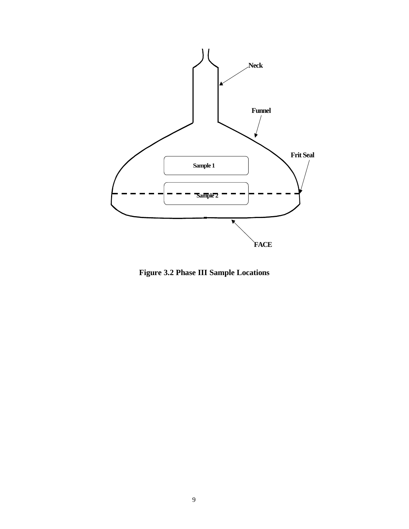

**Figure 3.2 Phase III Sample Locations**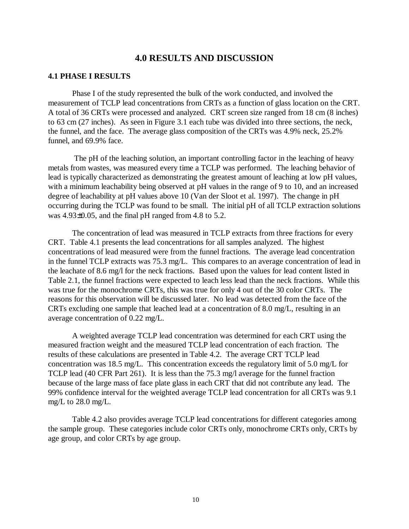# **4.0 RESULTS AND DISCUSSION**

#### **4.1 PHASE I RESULTS**

Phase I of the study represented the bulk of the work conducted, and involved the measurement of TCLP lead concentrations from CRTs as a function of glass location on the CRT. A total of 36 CRTs were processed and analyzed. CRT screen size ranged from 18 cm (8 inches) to 63 cm (27 inches). As seen in Figure 3.1 each tube was divided into three sections, the neck, the funnel, and the face. The average glass composition of the CRTs was 4.9% neck, 25.2% funnel, and 69.9% face.

 The pH of the leaching solution, an important controlling factor in the leaching of heavy metals from wastes, was measured every time a TCLP was performed. The leaching behavior of lead is typically characterized as demonstrating the greatest amount of leaching at low pH values, with a minimum leachability being observed at pH values in the range of 9 to 10, and an increased degree of leachability at pH values above 10 (Van der Sloot et al. 1997). The change in pH occurring during the TCLP was found to be small. The initial pH of all TCLP extraction solutions was 4.93±0.05, and the final pH ranged from 4.8 to 5.2.

The concentration of lead was measured in TCLP extracts from three fractions for every CRT. Table 4.1 presents the lead concentrations for all samples analyzed. The highest concentrations of lead measured were from the funnel fractions. The average lead concentration in the funnel TCLP extracts was 75.3 mg/L. This compares to an average concentration of lead in the leachate of 8.6 mg/l for the neck fractions. Based upon the values for lead content listed in Table 2.1, the funnel fractions were expected to leach less lead than the neck fractions. While this was true for the monochrome CRTs, this was true for only 4 out of the 30 color CRTs. The reasons for this observation will be discussed later. No lead was detected from the face of the CRTs excluding one sample that leached lead at a concentration of 8.0 mg/L, resulting in an average concentration of 0.22 mg/L.

A weighted average TCLP lead concentration was determined for each CRT using the measured fraction weight and the measured TCLP lead concentration of each fraction. The results of these calculations are presented in Table 4.2. The average CRT TCLP lead concentration was 18.5 mg/L. This concentration exceeds the regulatory limit of 5.0 mg/L for TCLP lead (40 CFR Part 261). It is less than the 75.3 mg/l average for the funnel fraction because of the large mass of face plate glass in each CRT that did not contribute any lead. The 99% confidence interval for the weighted average TCLP lead concentration for all CRTs was 9.1 mg/L to 28.0 mg/L.

Table 4.2 also provides average TCLP lead concentrations for different categories among the sample group. These categories include color CRTs only, monochrome CRTs only, CRTs by age group, and color CRTs by age group.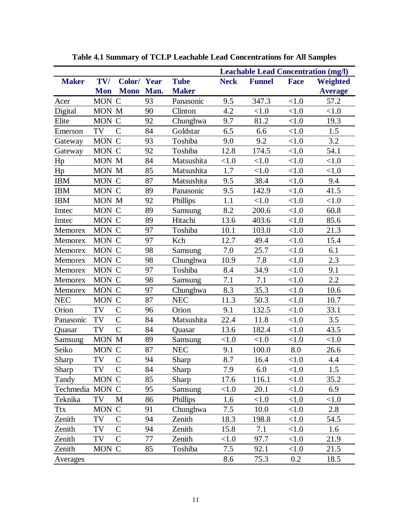|                 |            |                |      |              | <b>Leachable Lead Concentration (mg/l)</b> |               |                    |                |
|-----------------|------------|----------------|------|--------------|--------------------------------------------|---------------|--------------------|----------------|
| <b>Maker</b>    | TV/        | Color/Year     |      | <b>Tube</b>  | <b>Neck</b>                                | <b>Funnel</b> | <b>Face</b>        | Weighted       |
|                 | <b>Mon</b> | <b>Mono</b>    | Man. | <b>Maker</b> |                                            |               |                    | <b>Average</b> |
| Acer            | MON C      |                | 93   | Panasonic    | 9.5                                        | 347.3         | < 1.0              | 57.2           |
| Digital         | MON M      |                | 90   | Clinton      | 4.2                                        | < 1.0         | < 1.0              | < 1.0          |
| Elite           | <b>MON</b> | $\mathbf C$    | 92   | Chunghwa     | 9.7                                        | 81.2          | <1.0               | 19.3           |
| Emerson         | TV         | $\mathcal{C}$  | 84   | Goldstar     | 6.5                                        | 6.6           | <1.0               | 1.5            |
| Gateway         | MON C      |                | 93   | Toshiba      | 9.0                                        | 9.2           | < 1.0              | 3.2            |
| Gateway         | MON C      |                | 92   | Toshiba      | 12.8                                       | 174.5         | < 1.0              | 54.1           |
| Hp              | MON M      |                | 84   | Matsushita   | < 1.0                                      | <1.0          | < 1.0              | < 1.0          |
| Hp              | MON M      |                | 85   | Matsushita   | 1.7                                        | < 1.0         | < 1.0              | < 1.0          |
| <b>IBM</b>      | MON C      |                | 87   | Matsushita   | 9.5                                        | 38.4          | < 1.0              | 9.4            |
| <b>IBM</b>      | MON C      |                | 89   | Panasonic    | 9.5                                        | 142.9         | < 1.0              | 41.5           |
| <b>IBM</b>      | MON M      |                | 92   | Phillips     | 1.1                                        | <1.0          | <1.0               | < 1.0          |
| Imtec           | MON C      |                | 89   | Samsung      | 8.2                                        | 200.6         | <1.0               | 60.8           |
| Imtec           | MON C      |                | 89   | Hitachi      | 13.6                                       | 403.6         | <1.0               | 85.6           |
| Memorex         | MON C      |                | 97   | Toshiba      | 10.1                                       | 103.0         | <1.0               | 21.3           |
| Memorex         | MON C      |                | 97   | Kch          | 12.7                                       | 49.4          | < 1.0              | 15.4           |
| Memorex         | <b>MON</b> | $\mathbf C$    | 98   | Samsung      | 7.0                                        | 25.7          | <1.0               | 6.1            |
| Memorex         | MON C      |                | 98   | Chunghwa     | 10.9                                       | 7.8           | <1.0               | 2.3            |
| Memorex         | MON C      |                | 97   | Toshiba      | 8.4                                        | 34.9          | < 1.0              | 9.1            |
| Memorex         | MON C      |                | 98   | Samsung      | 7.1                                        | 7.1           | < 1.0              | 2.2            |
| Memorex         | MON C      |                | 97   | Chunghwa     | 8.3                                        | 35.3          | <1.0               | 10.6           |
| <b>NEC</b>      | MON C      |                | 87   | <b>NEC</b>   | 11.3                                       | 50.3          | < 1.0              | 10.7           |
| Orion           | TV         | $\overline{C}$ | 96   | Orion        | 9.1                                        | 132.5         | < 1.0              | 33.1           |
| Panasonic       | TV         | $\mathcal{C}$  | 84   | Matsushita   | 22.4                                       | 11.8          | < 1.0              | 3.5            |
| Quasar          | TV         | $\overline{C}$ | 84   | Quasar       | 13.6                                       | 182.4         | < 1.0              | 43.5           |
| Samsung         | MON M      |                | 89   | Samsung      | < 1.0                                      | < 1.0         | < 1.0              | < 1.0          |
| Seiko           | <b>MON</b> | $\mathbf C$    | 87   | <b>NEC</b>   | 9.1                                        | 100.0         | $\boldsymbol{8.0}$ | 26.6           |
| Sharp           | TV         | $\overline{C}$ | 94   | Sharp        | 8.7                                        | 16.4          | <1.0               | 4.4            |
| Sharp           | TV         | $\mathcal{C}$  | 84   | Sharp        | 7.9                                        | 6.0           | < 1.0              | 1.5            |
| Tandy           | <b>MON</b> | $\mathcal{C}$  | 85   | Sharp        | 17.6                                       | 116.1         | < 1.0              | 35.2           |
| Techmedia MON C |            |                | 95   | Samsung      | < 1.0                                      | 20.1          | < 1.0              | 6.9            |
| Teknika         | TV         | M              | 86   | Phillips     | 1.6                                        | <1.0          | < 1.0              | < 1.0          |
| <b>Ttx</b>      | <b>MON</b> | $\mathbf C$    | 91   | Chunghwa     | 7.5                                        | 10.0          | < 1.0              | 2.8            |
| Zenith          | TV         | $\mathcal{C}$  | 94   | Zenith       | 18.3                                       | 198.8         | < 1.0              | 54.5           |
| Zenith          | TV         | $\mathcal{C}$  | 94   | Zenith       | 15.8                                       | 7.1           | < 1.0              | 1.6            |
| Zenith          | TV         | $\mathcal{C}$  | 77   | Zenith       | < 1.0                                      | 97.7          | < 1.0              | 21.9           |
| Zenith          | MON C      |                | 85   | Toshiba      | 7.5                                        | 92.1          | < 1.0              | 21.5           |
| Averages        |            |                |      |              | 8.6                                        | 75.3          | 0.2                | 18.5           |

**Table 4.1 Summary of TCLP Leachable Lead Concentrations for All Samples**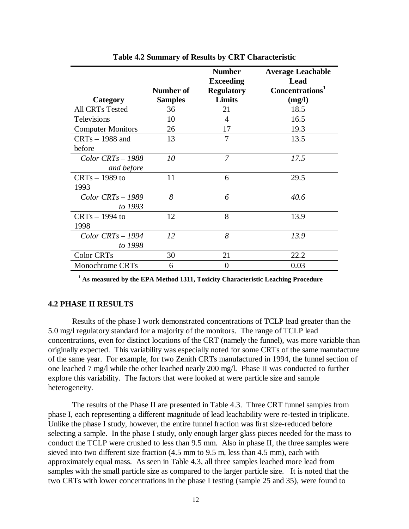|                          |                | <b>Number</b><br><b>Exceeding</b> | <b>Average Leachable</b><br>Lead |
|--------------------------|----------------|-----------------------------------|----------------------------------|
|                          | Number of      | <b>Regulatory</b>                 | Concentrations <sup>1</sup>      |
| Category                 | <b>Samples</b> | Limits                            | (mg/l)                           |
| <b>All CRTs Tested</b>   | 36             | 21                                | 18.5                             |
| <b>Televisions</b>       | 10             | 4                                 | 16.5                             |
| <b>Computer Monitors</b> | 26             | 17                                | 19.3                             |
| $CRTs - 1988$ and        | 13             | 7                                 | 13.5                             |
| before                   |                |                                   |                                  |
| $Color$ $CRTs - 1988$    | 10             | $\overline{7}$                    | 17.5                             |
| and before               |                |                                   |                                  |
| $CRTs - 1989$ to         | 11             | 6                                 | 29.5                             |
| 1993                     |                |                                   |                                  |
| $Color$ $CRTs - 1989$    | 8              | 6                                 | 40.6                             |
| to 1993                  |                |                                   |                                  |
| $CRTs - 1994$ to         | 12             | 8                                 | 13.9                             |
| 1998                     |                |                                   |                                  |
| $Color$ $CRTs - 1994$    | 12             | 8                                 | 13.9                             |
| to 1998                  |                |                                   |                                  |
| Color CRTs               | 30             | 21                                | 22.2                             |
| Monochrome CRTs          | 6              | $\overline{0}$                    | 0.03                             |

**Table 4.2 Summary of Results by CRT Characteristic**

**1 As measured by the EPA Method 1311, Toxicity Characteristic Leaching Procedure**

#### **4.2 PHASE II RESULTS**

Results of the phase I work demonstrated concentrations of TCLP lead greater than the 5.0 mg/l regulatory standard for a majority of the monitors. The range of TCLP lead concentrations, even for distinct locations of the CRT (namely the funnel), was more variable than originally expected. This variability was especially noted for some CRTs of the same manufacture of the same year. For example, for two Zenith CRTs manufactured in 1994, the funnel section of one leached 7 mg/l while the other leached nearly 200 mg/l. Phase II was conducted to further explore this variability. The factors that were looked at were particle size and sample heterogeneity.

The results of the Phase II are presented in Table 4.3. Three CRT funnel samples from phase I, each representing a different magnitude of lead leachability were re-tested in triplicate. Unlike the phase I study, however, the entire funnel fraction was first size-reduced before selecting a sample. In the phase I study, only enough larger glass pieces needed for the mass to conduct the TCLP were crushed to less than 9.5 mm. Also in phase II, the three samples were sieved into two different size fraction (4.5 mm to 9.5 m, less than 4.5 mm), each with approximately equal mass. As seen in Table 4.3, all three samples leached more lead from samples with the small particle size as compared to the larger particle size. It is noted that the two CRTs with lower concentrations in the phase I testing (sample 25 and 35), were found to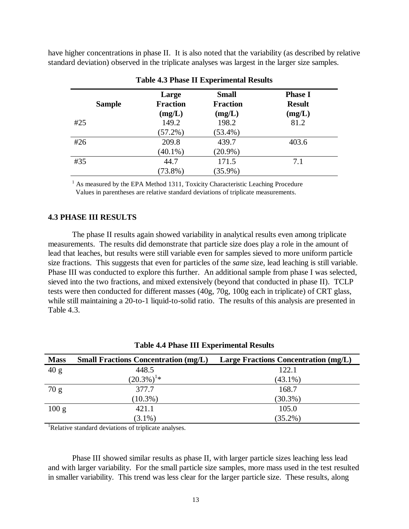have higher concentrations in phase II. It is also noted that the variability (as described by relative standard deviation) observed in the triplicate analyses was largest in the larger size samples.

| <b>Sample</b> | Large<br><b>Fraction</b>      | <b>Small</b><br><b>Fraction</b> | <b>Phase I</b><br><b>Result</b> |
|---------------|-------------------------------|---------------------------------|---------------------------------|
| #25           | (mg/L)<br>149.2<br>$(57.2\%)$ | (mg/L)<br>198.2<br>$(53.4\%)$   | (mg/L)<br>81.2                  |
| #26           | 209.8<br>$(40.1\%)$           | 439.7<br>$(20.9\%)$             | 403.6                           |
| #35           | 44.7<br>$(73.8\%)$            | 171.5<br>$(35.9\%)$             | 7.1                             |

#### **Table 4.3 Phase II Experimental Results**

<sup>1</sup> As measured by the EPA Method 1311, Toxicity Characteristic Leaching Procedure Values in parentheses are relative standard deviations of triplicate measurements.

#### **4.3 PHASE III RESULTS**

The phase II results again showed variability in analytical results even among triplicate measurements. The results did demonstrate that particle size does play a role in the amount of lead that leaches, but results were still variable even for samples sieved to more uniform particle size fractions. This suggests that even for particles of the *same* size, lead leaching is still variable. Phase III was conducted to explore this further. An additional sample from phase I was selected, sieved into the two fractions, and mixed extensively (beyond that conducted in phase II). TCLP tests were then conducted for different masses (40g, 70g, 100g each in triplicate) of CRT glass, while still maintaining a 20-to-1 liquid-to-solid ratio. The results of this analysis are presented in Table 4.3.

| <b>Mass</b> | <b>Small Fractions Concentration (mg/L)</b> | <b>Large Fractions Concentration (mg/L)</b> |
|-------------|---------------------------------------------|---------------------------------------------|
| 40 g        | 448.5                                       | 122.1                                       |
|             | $(20.3\%)^{1*}$                             | $(43.1\%)$                                  |
| 70 g        | 377.7                                       | 168.7                                       |
|             | $(10.3\%)$                                  | $(30.3\%)$                                  |
| 100 g       | 421.1                                       | 105.0                                       |
|             | $(3.1\%)$                                   | $(35.2\%)$                                  |

#### **Table 4.4 Phase III Experimental Results**

<sup>1</sup>Relative standard deviations of triplicate analyses.

Phase III showed similar results as phase II, with larger particle sizes leaching less lead and with larger variability. For the small particle size samples, more mass used in the test resulted in smaller variability. This trend was less clear for the larger particle size. These results, along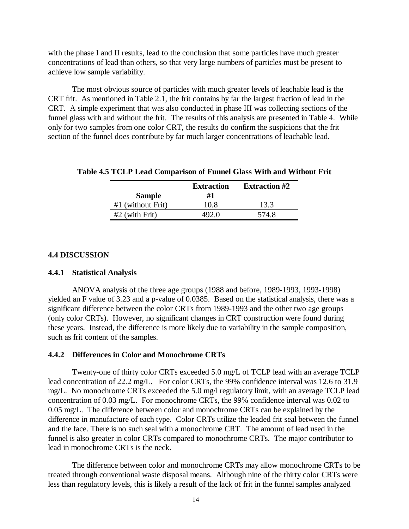with the phase I and II results, lead to the conclusion that some particles have much greater concentrations of lead than others, so that very large numbers of particles must be present to achieve low sample variability.

The most obvious source of particles with much greater levels of leachable lead is the CRT frit. As mentioned in Table 2.1, the frit contains by far the largest fraction of lead in the CRT. A simple experiment that was also conducted in phase III was collecting sections of the funnel glass with and without the frit. The results of this analysis are presented in Table 4. While only for two samples from one color CRT, the results do confirm the suspicions that the frit section of the funnel does contribute by far much larger concentrations of leachable lead.

|                     | <b>Extraction</b> | <b>Extraction #2</b> |
|---------------------|-------------------|----------------------|
| <b>Sample</b>       | #1                |                      |
| $#1$ (without Frit) | 10.8              | 13.3                 |
| $#2$ (with Frit)    | 492.0             | 574.8                |

#### **Table 4.5 TCLP Lead Comparison of Funnel Glass With and Without Frit**

#### **4.4 DISCUSSION**

#### **4.4.1 Statistical Analysis**

ANOVA analysis of the three age groups (1988 and before, 1989-1993, 1993-1998) yielded an F value of 3.23 and a p-value of 0.0385. Based on the statistical analysis, there was a significant difference between the color CRTs from 1989-1993 and the other two age groups (only color CRTs). However, no significant changes in CRT construction were found during these years. Instead, the difference is more likely due to variability in the sample composition, such as frit content of the samples.

#### **4.4.2 Differences in Color and Monochrome CRTs**

Twenty-one of thirty color CRTs exceeded 5.0 mg/L of TCLP lead with an average TCLP lead concentration of 22.2 mg/L. For color CRTs, the 99% confidence interval was 12.6 to 31.9 mg/L. No monochrome CRTs exceeded the 5.0 mg/l regulatory limit, with an average TCLP lead concentration of 0.03 mg/L. For monochrome CRTs, the 99% confidence interval was 0.02 to 0.05 mg/L. The difference between color and monochrome CRTs can be explained by the difference in manufacture of each type. Color CRTs utilize the leaded frit seal between the funnel and the face. There is no such seal with a monochrome CRT. The amount of lead used in the funnel is also greater in color CRTs compared to monochrome CRTs. The major contributor to lead in monochrome CRTs is the neck.

The difference between color and monochrome CRTs may allow monochrome CRTs to be treated through conventional waste disposal means. Although nine of the thirty color CRTs were less than regulatory levels, this is likely a result of the lack of frit in the funnel samples analyzed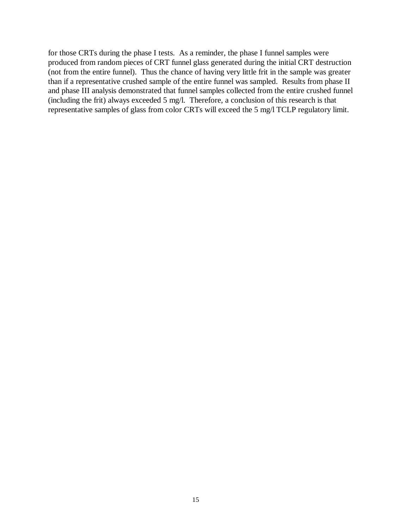for those CRTs during the phase I tests. As a reminder, the phase I funnel samples were produced from random pieces of CRT funnel glass generated during the initial CRT destruction (not from the entire funnel). Thus the chance of having very little frit in the sample was greater than if a representative crushed sample of the entire funnel was sampled. Results from phase II and phase III analysis demonstrated that funnel samples collected from the entire crushed funnel (including the frit) always exceeded 5 mg/l. Therefore, a conclusion of this research is that representative samples of glass from color CRTs will exceed the 5 mg/l TCLP regulatory limit.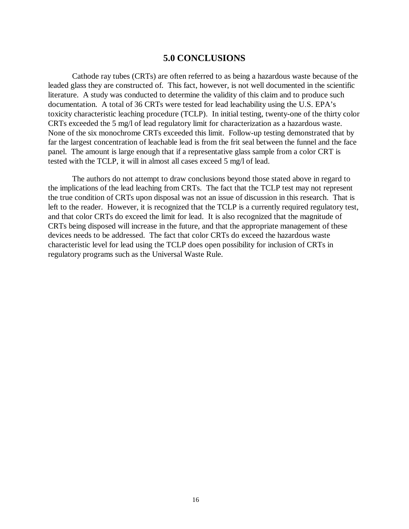## **5.0 CONCLUSIONS**

Cathode ray tubes (CRTs) are often referred to as being a hazardous waste because of the leaded glass they are constructed of. This fact, however, is not well documented in the scientific literature. A study was conducted to determine the validity of this claim and to produce such documentation. A total of 36 CRTs were tested for lead leachability using the U.S. EPA's toxicity characteristic leaching procedure (TCLP). In initial testing, twenty-one of the thirty color CRTs exceeded the 5 mg/l of lead regulatory limit for characterization as a hazardous waste. None of the six monochrome CRTs exceeded this limit. Follow-up testing demonstrated that by far the largest concentration of leachable lead is from the frit seal between the funnel and the face panel. The amount is large enough that if a representative glass sample from a color CRT is tested with the TCLP, it will in almost all cases exceed 5 mg/l of lead.

The authors do not attempt to draw conclusions beyond those stated above in regard to the implications of the lead leaching from CRTs. The fact that the TCLP test may not represent the true condition of CRTs upon disposal was not an issue of discussion in this research. That is left to the reader. However, it is recognized that the TCLP is a currently required regulatory test, and that color CRTs do exceed the limit for lead. It is also recognized that the magnitude of CRTs being disposed will increase in the future, and that the appropriate management of these devices needs to be addressed. The fact that color CRTs do exceed the hazardous waste characteristic level for lead using the TCLP does open possibility for inclusion of CRTs in regulatory programs such as the Universal Waste Rule.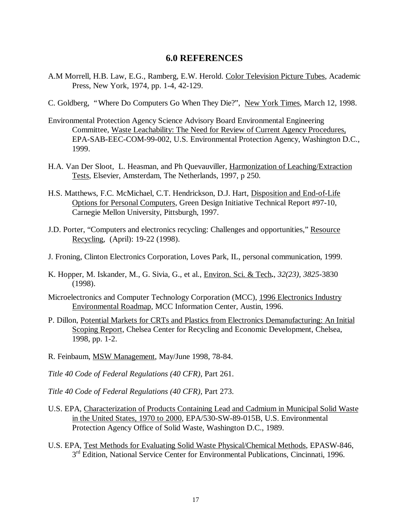## **6.0 REFERENCES**

- A.M Morrell, H.B. Law, E.G., Ramberg, E.W. Herold. Color Television Picture Tubes, Academic Press, New York, 1974, pp. 1-4, 42-129.
- C. Goldberg, "Where Do Computers Go When They Die?", New York Times, March 12, 1998.
- Environmental Protection Agency Science Advisory Board Environmental Engineering Committee, Waste Leachability: The Need for Review of Current Agency Procedures, EPA-SAB-EEC-COM-99-002, U.S. Environmental Protection Agency, Washington D.C., 1999.
- H.A. Van Der Sloot, L. Heasman, and Ph Quevauviller, Harmonization of Leaching/Extraction Tests, Elsevier, Amsterdam, The Netherlands, 1997, p 250*.*
- H.S. Matthews, F.C. McMichael, C.T. Hendrickson, D.J. Hart, Disposition and End-of-Life Options for Personal Computers, Green Design Initiative Technical Report #97-10, Carnegie Mellon University, Pittsburgh, 1997.
- J.D. Porter, "Computers and electronics recycling: Challenges and opportunities," Resource Recycling*,* (April): 19-22 (1998).
- J. Froning, Clinton Electronics Corporation, Loves Park, IL, personal communication, 1999.
- K. Hopper, M. Iskander, M., G. Sivia, G., et al., Environ. Sci. & Tech**.***, 32(23), 3825*-3830 (1998).
- Microelectronics and Computer Technology Corporation (MCC), 1996 Electronics Industry Environmental Roadmap*,* MCC Information Center, Austin, 1996.
- P. Dillon, Potential Markets for CRTs and Plastics from Electronics Demanufacturing: An Initial Scoping Report, Chelsea Center for Recycling and Economic Development, Chelsea, 1998, pp. 1-2.
- R. Feinbaum, MSW Management, May/June 1998, 78-84.
- *Title 40 Code of Federal Regulations (40 CFR)*, Part 261.
- *Title 40 Code of Federal Regulations (40 CFR)*, Part 273.
- U.S. EPA, Characterization of Products Containing Lead and Cadmium in Municipal Solid Waste in the United States, 1970 to 2000, EPA/530-SW-89-015B, U.S. Environmental Protection Agency Office of Solid Waste, Washington D.C., 1989.
- U.S. EPA, Test Methods for Evaluating Solid Waste Physical/Chemical Methods, EPASW-846, 3<sup>rd</sup> Edition, National Service Center for Environmental Publications, Cincinnati, 1996.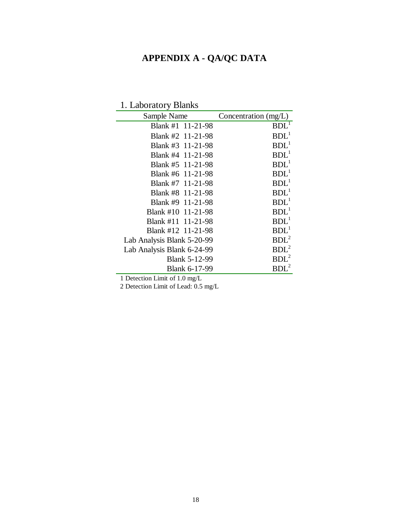# **APPENDIX A - QA/QC DATA**

# 1. Laboratory Blanks

| Sample Name                | Concentration (mg/L) |
|----------------------------|----------------------|
| Blank #1 11-21-98          | BDL <sup>1</sup>     |
| Blank #2 11-21-98          | BDL <sup>1</sup>     |
| Blank #3 11-21-98          | $BDL^1$              |
| Blank #4 11-21-98          | BDL <sup>1</sup>     |
| Blank #5 11-21-98          | BDL <sup>1</sup>     |
| Blank #6 11-21-98          | BDL <sup>1</sup>     |
| Blank #7 11-21-98          | BDL <sup>1</sup>     |
| Blank #8 11-21-98          | $BDL^1$              |
| Blank #9 11-21-98          | BDL <sup>1</sup>     |
| Blank #10 11-21-98         | BDL <sup>1</sup>     |
| Blank #11 11-21-98         | BDL <sup>1</sup>     |
| Blank #12 11-21-98         | BDL <sup>1</sup>     |
| Lab Analysis Blank 5-20-99 | BDL <sup>2</sup>     |
| Lab Analysis Blank 6-24-99 | $BDL^2$              |
| <b>Blank 5-12-99</b>       | $BDL^2$              |
| <b>Blank 6-17-99</b>       |                      |

1 Detection Limit of 1.0 mg/L

2 Detection Limit of Lead: 0.5 mg/L